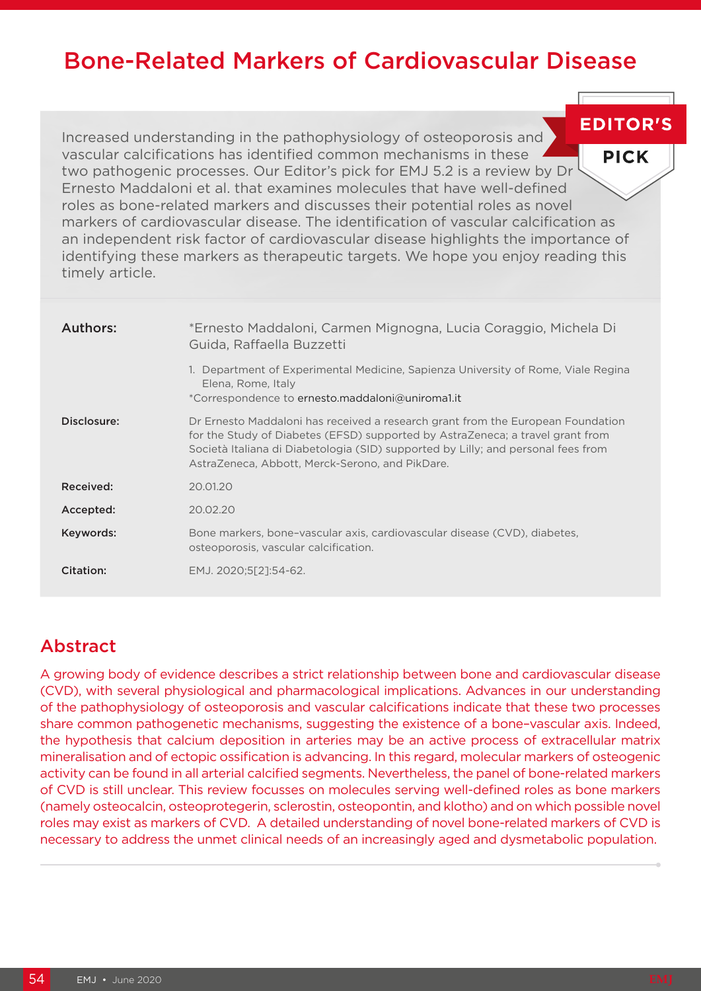# Bone-Related Markers of Cardiovascular Disease

Increased understanding in the pathophysiology of osteoporosis and vascular calcifications has identified common mechanisms in these **PICK** two pathogenic processes. Our Editor's pick for EMJ 5.2 is a review by Dr Ernesto Maddaloni et al. that examines molecules that have well-defined roles as bone-related markers and discusses their potential roles as novel markers of cardiovascular disease. The identification of vascular calcification as an independent risk factor of cardiovascular disease highlights the importance of identifying these markers as therapeutic targets. We hope you enjoy reading this timely article.

| Authors:    | *Ernesto Maddaloni, Carmen Mignogna, Lucia Coraggio, Michela Di<br>Guida, Raffaella Buzzetti                                                                                                                                                                                                              |
|-------------|-----------------------------------------------------------------------------------------------------------------------------------------------------------------------------------------------------------------------------------------------------------------------------------------------------------|
|             | 1. Department of Experimental Medicine, Sapienza University of Rome, Viale Regina<br>Elena, Rome, Italy<br>*Correspondence to ernesto.maddaloni@uniroma1.it                                                                                                                                               |
| Disclosure: | Dr Ernesto Maddaloni has received a research grant from the European Foundation<br>for the Study of Diabetes (EFSD) supported by AstraZeneca; a travel grant from<br>Società Italiana di Diabetologia (SID) supported by Lilly; and personal fees from<br>AstraZeneca, Abbott, Merck-Serono, and PikDare. |
| Received:   | 20.01.20                                                                                                                                                                                                                                                                                                  |
| Accepted:   | 20.02.20                                                                                                                                                                                                                                                                                                  |
| Keywords:   | Bone markers, bone-vascular axis, cardiovascular disease (CVD), diabetes,<br>osteoporosis, vascular calcification.                                                                                                                                                                                        |
| Citation:   | EMJ. 2020;5[2]:54-62.                                                                                                                                                                                                                                                                                     |

# Abstract

A growing body of evidence describes a strict relationship between bone and cardiovascular disease (CVD), with several physiological and pharmacological implications. Advances in our understanding of the pathophysiology of osteoporosis and vascular calcifications indicate that these two processes share common pathogenetic mechanisms, suggesting the existence of a bone–vascular axis. Indeed, the hypothesis that calcium deposition in arteries may be an active process of extracellular matrix mineralisation and of ectopic ossification is advancing. In this regard, molecular markers of osteogenic activity can be found in all arterial calcified segments. Nevertheless, the panel of bone-related markers of CVD is still unclear. This review focusses on molecules serving well-defined roles as bone markers (namely osteocalcin, osteoprotegerin, sclerostin, osteopontin, and klotho) and on which possible novel roles may exist as markers of CVD. A detailed understanding of novel bone-related markers of CVD is necessary to address the unmet clinical needs of an increasingly aged and dysmetabolic population.

**EDITOR'S**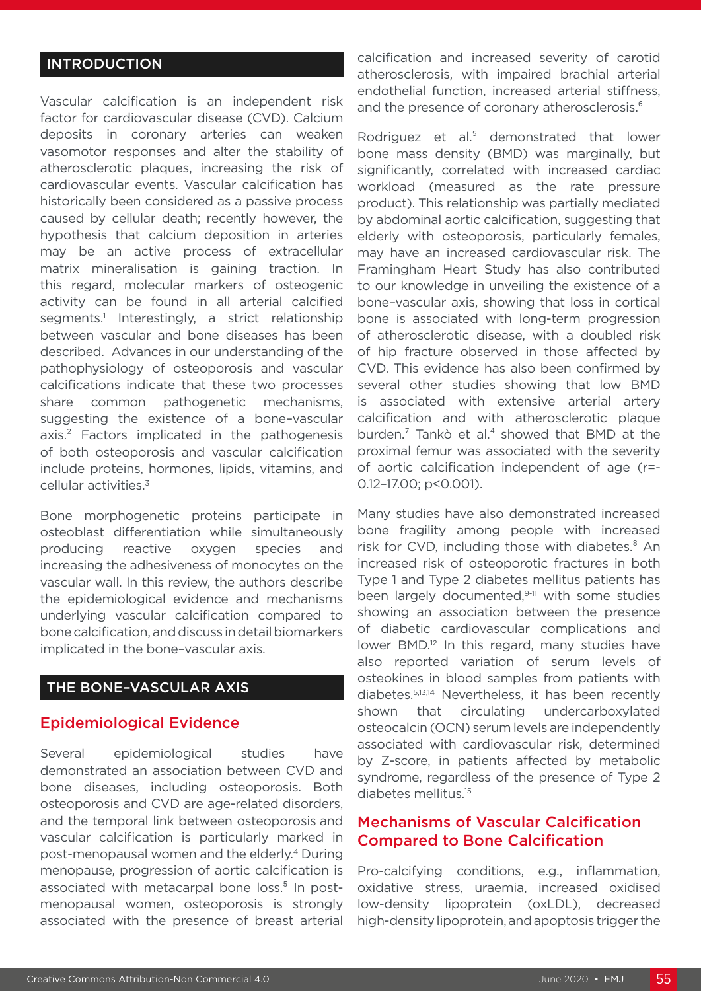# INTRODUCTION

Vascular calcification is an independent risk factor for cardiovascular disease (CVD). Calcium deposits in coronary arteries can weaken vasomotor responses and alter the stability of atherosclerotic plaques, increasing the risk of cardiovascular events. Vascular calcification has historically been considered as a passive process caused by cellular death; recently however, the hypothesis that calcium deposition in arteries may be an active process of extracellular matrix mineralisation is gaining traction. In this regard, molecular markers of osteogenic activity can be found in all arterial calcified segments.<sup>1</sup> Interestingly, a strict relationship between vascular and bone diseases has been described. Advances in our understanding of the pathophysiology of osteoporosis and vascular calcifications indicate that these two processes share common pathogenetic mechanisms, suggesting the existence of a bone–vascular axis.² Factors implicated in the pathogenesis of both osteoporosis and vascular calcification include proteins, hormones, lipids, vitamins, and cellular activities.3

Bone morphogenetic proteins participate in osteoblast differentiation while simultaneously producing reactive oxygen species and increasing the adhesiveness of monocytes on the vascular wall. In this review, the authors describe the epidemiological evidence and mechanisms underlying vascular calcification compared to bone calcification, and discuss in detail biomarkers implicated in the bone–vascular axis.

# THE BONE–VASCULAR AXIS

#### Epidemiological Evidence

Several epidemiological studies have demonstrated an association between CVD and bone diseases, including osteoporosis. Both osteoporosis and CVD are age-related disorders, and the temporal link between osteoporosis and vascular calcification is particularly marked in post-menopausal women and the elderly.4 During menopause, progression of aortic calcification is associated with metacarpal bone loss.<sup>5</sup> In postmenopausal women, osteoporosis is strongly associated with the presence of breast arterial calcification and increased severity of carotid atherosclerosis, with impaired brachial arterial endothelial function, increased arterial stiffness, and the presence of coronary atherosclerosis.<sup>6</sup>

Rodriguez et al.<sup>5</sup> demonstrated that lower bone mass density (BMD) was marginally, but significantly, correlated with increased cardiac workload (measured as the rate pressure product). This relationship was partially mediated by abdominal aortic calcification, suggesting that elderly with osteoporosis, particularly females, may have an increased cardiovascular risk. The Framingham Heart Study has also contributed to our knowledge in unveiling the existence of a bone–vascular axis, showing that loss in cortical bone is associated with long-term progression of atherosclerotic disease, with a doubled risk of hip fracture observed in those affected by CVD. This evidence has also been confirmed by several other studies showing that low BMD is associated with extensive arterial artery calcification and with atherosclerotic plaque burden.<sup>7</sup> Tankò et al.<sup>4</sup> showed that BMD at the proximal femur was associated with the severity of aortic calcification independent of age (r=- 0.12–17.00; p<0.001).

Many studies have also demonstrated increased bone fragility among people with increased risk for CVD, including those with diabetes.<sup>8</sup> An increased risk of osteoporotic fractures in both Type 1 and Type 2 diabetes mellitus patients has been largely documented,<sup>9-11</sup> with some studies showing an association between the presence of diabetic cardiovascular complications and lower BMD.<sup>12</sup> In this regard, many studies have also reported variation of serum levels of osteokines in blood samples from patients with diabetes.5,13,14 Nevertheless, it has been recently shown that circulating undercarboxylated osteocalcin (OCN) serum levels are independently associated with cardiovascular risk, determined by Z-score, in patients affected by metabolic syndrome, regardless of the presence of Type 2 diabetes mellitus.15

# Mechanisms of Vascular Calcification Compared to Bone Calcification

Pro-calcifying conditions, e.g., inflammation, oxidative stress, uraemia, increased oxidised low-density lipoprotein (oxLDL), decreased high-density lipoprotein, and apoptosis trigger the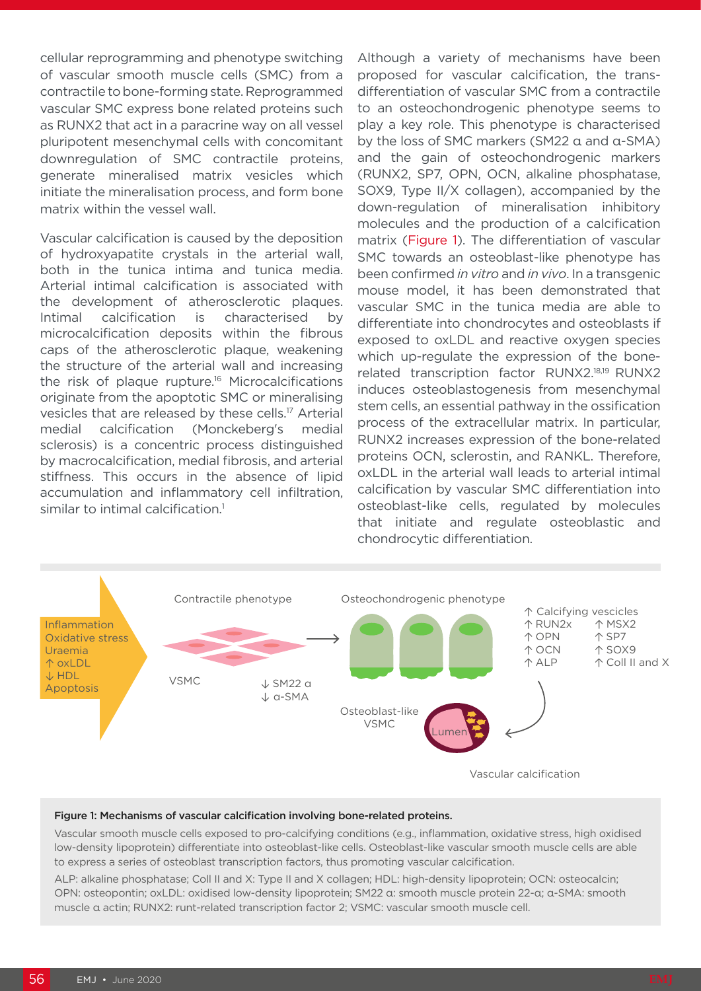cellular reprogramming and phenotype switching of vascular smooth muscle cells (SMC) from a contractile to bone-forming state. Reprogrammed vascular SMC express bone related proteins such as RUNX2 that act in a paracrine way on all vessel pluripotent mesenchymal cells with concomitant downregulation of SMC contractile proteins, generate mineralised matrix vesicles which initiate the mineralisation process, and form bone matrix within the vessel wall.

Vascular calcification is caused by the deposition of hydroxyapatite crystals in the arterial wall, both in the tunica intima and tunica media. Arterial intimal calcification is associated with the development of atherosclerotic plaques. Intimal calcification is characterised by microcalcification deposits within the fibrous caps of the atherosclerotic plaque, weakening the structure of the arterial wall and increasing the risk of plaque rupture.<sup>16</sup> Microcalcifications originate from the apoptotic SMC or mineralising vesicles that are released by these cells.17 Arterial medial calcification (Monckeberg's medial sclerosis) is a concentric process distinguished by macrocalcification, medial fibrosis, and arterial stiffness. This occurs in the absence of lipid accumulation and inflammatory cell infiltration, similar to intimal calcification.<sup>1</sup>

Although a variety of mechanisms have been proposed for vascular calcification, the transdifferentiation of vascular SMC from a contractile to an osteochondrogenic phenotype seems to play a key role. This phenotype is characterised by the loss of SMC markers (SM22 α and α-SMA) and the gain of osteochondrogenic markers (RUNX2, SP7, OPN, OCN, alkaline phosphatase, SOX9, Type II/X collagen), accompanied by the down-regulation of mineralisation inhibitory molecules and the production of a calcification matrix (Figure 1). The differentiation of vascular SMC towards an osteoblast-like phenotype has been confirmed *in vitro* and *in vivo*. In a transgenic mouse model, it has been demonstrated that vascular SMC in the tunica media are able to differentiate into chondrocytes and osteoblasts if exposed to oxLDL and reactive oxygen species which up-regulate the expression of the bonerelated transcription factor RUNX2.18,19 RUNX2 induces osteoblastogenesis from mesenchymal stem cells, an essential pathway in the ossification process of the extracellular matrix. In particular, RUNX2 increases expression of the bone-related proteins OCN, sclerostin, and RANKL. Therefore, oxLDL in the arterial wall leads to arterial intimal calcification by vascular SMC differentiation into osteoblast-like cells, regulated by molecules that initiate and regulate osteoblastic and chondrocytic differentiation.



#### Figure 1: Mechanisms of vascular calcification involving bone-related proteins.

Vascular smooth muscle cells exposed to pro-calcifying conditions (e.g., inflammation, oxidative stress, high oxidised low-density lipoprotein) differentiate into osteoblast-like cells. Osteoblast-like vascular smooth muscle cells are able to express a series of osteoblast transcription factors, thus promoting vascular calcification.

ALP: alkaline phosphatase; Coll II and X: Type II and X collagen; HDL: high-density lipoprotein; OCN: osteocalcin; OPN: osteopontin; oxLDL: oxidised low-density lipoprotein; SM22 α: smooth muscle protein 22-α; α-SMA: smooth muscle α actin; RUNX2: runt-related transcription factor 2; VSMC: vascular smooth muscle cell.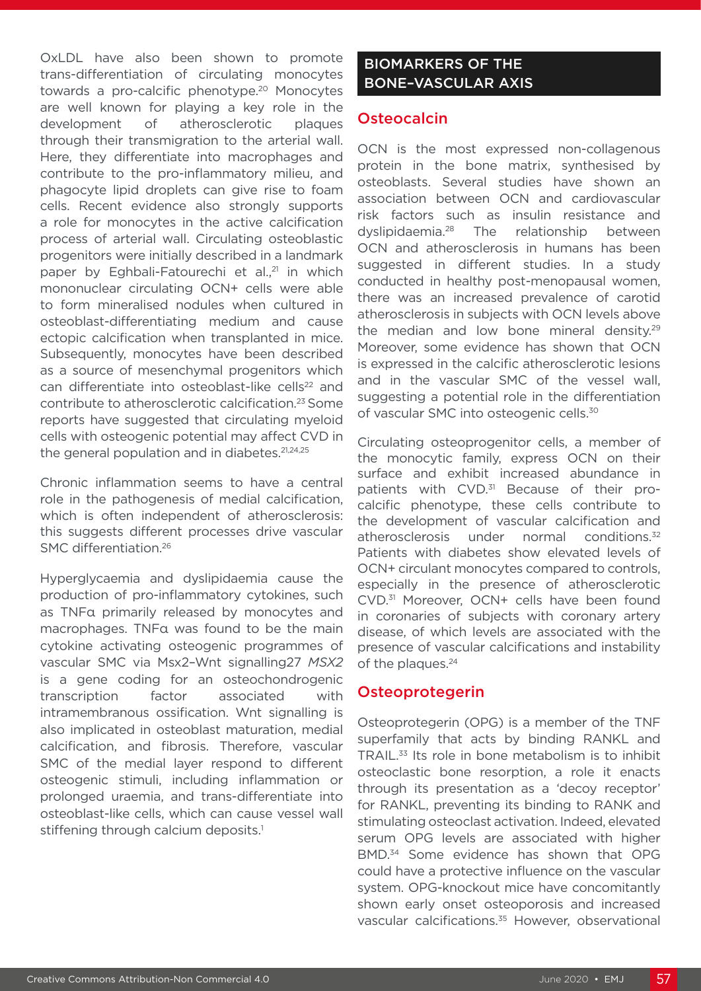OxLDL have also been shown to promote trans-differentiation of circulating monocytes towards a pro-calcific phenotype.20 Monocytes are well known for playing a key role in the development of atherosclerotic plaques through their transmigration to the arterial wall. Here, they differentiate into macrophages and contribute to the pro-inflammatory milieu, and phagocyte lipid droplets can give rise to foam cells. Recent evidence also strongly supports a role for monocytes in the active calcification process of arterial wall. Circulating osteoblastic progenitors were initially described in a landmark paper by Eghbali-Fatourechi et al.,<sup>21</sup> in which mononuclear circulating OCN+ cells were able to form mineralised nodules when cultured in osteoblast-differentiating medium and cause ectopic calcification when transplanted in mice. Subsequently, monocytes have been described as a source of mesenchymal progenitors which can differentiate into osteoblast-like cells<sup>22</sup> and contribute to atherosclerotic calcification.23 Some reports have suggested that circulating myeloid cells with osteogenic potential may affect CVD in the general population and in diabetes.<sup>21,24,25</sup>

Chronic inflammation seems to have a central role in the pathogenesis of medial calcification, which is often independent of atherosclerosis: this suggests different processes drive vascular SMC differentiation.26

Hyperglycaemia and dyslipidaemia cause the production of pro-inflammatory cytokines, such as TNFα primarily released by monocytes and macrophages. TNFα was found to be the main cytokine activating osteogenic programmes of vascular SMC via Msx2–Wnt signalling27 *MSX2* is a gene coding for an osteochondrogenic transcription factor associated with intramembranous ossification. Wnt signalling is also implicated in osteoblast maturation, medial calcification, and fibrosis. Therefore, vascular SMC of the medial layer respond to different osteogenic stimuli, including inflammation or prolonged uraemia, and trans-differentiate into osteoblast-like cells, which can cause vessel wall stiffening through calcium deposits.<sup>1</sup>

## BIOMARKERS OF THE BONE–VASCULAR AXIS

### **Osteocalcin**

OCN is the most expressed non-collagenous protein in the bone matrix, synthesised by osteoblasts. Several studies have shown an association between OCN and cardiovascular risk factors such as insulin resistance and dyslipidaemia.28 The relationship between OCN and atherosclerosis in humans has been suggested in different studies. In a study conducted in healthy post-menopausal women, there was an increased prevalence of carotid atherosclerosis in subjects with OCN levels above the median and low bone mineral density.29 Moreover, some evidence has shown that OCN is expressed in the calcific atherosclerotic lesions and in the vascular SMC of the vessel wall, suggesting a potential role in the differentiation of vascular SMC into osteogenic cells.30

Circulating osteoprogenitor cells, a member of the monocytic family, express OCN on their surface and exhibit increased abundance in patients with CVD.<sup>31</sup> Because of their procalcific phenotype, these cells contribute to the development of vascular calcification and atherosclerosis under normal conditions.<sup>32</sup> Patients with diabetes show elevated levels of OCN+ circulant monocytes compared to controls, especially in the presence of atherosclerotic CVD.31 Moreover, OCN+ cells have been found in coronaries of subjects with coronary artery disease, of which levels are associated with the presence of vascular calcifications and instability of the plaques.<sup>24</sup>

#### **Osteoprotegerin**

Osteoprotegerin (OPG) is a member of the TNF superfamily that acts by binding RANKL and TRAIL.33 Its role in bone metabolism is to inhibit osteoclastic bone resorption, a role it enacts through its presentation as a 'decoy receptor' for RANKL, preventing its binding to RANK and stimulating osteoclast activation. Indeed, elevated serum OPG levels are associated with higher BMD.34 Some evidence has shown that OPG could have a protective influence on the vascular system. OPG-knockout mice have concomitantly shown early onset osteoporosis and increased vascular calcifications.<sup>35</sup> However, observational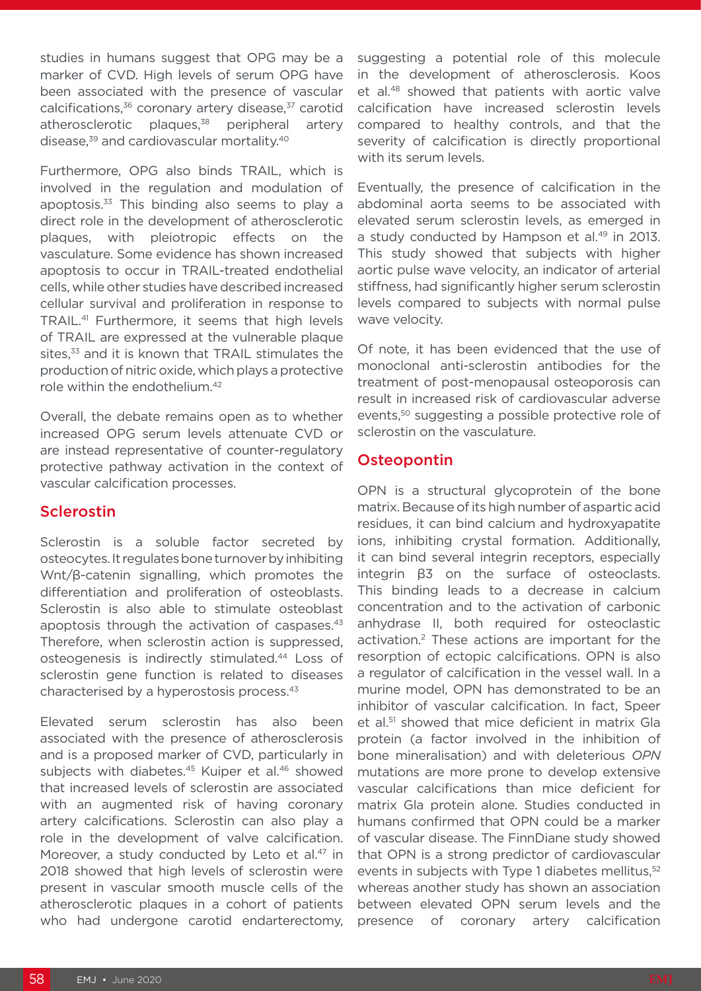studies in humans suggest that OPG may be a marker of CVD. High levels of serum OPG have been associated with the presence of vascular calcifications, $36$  coronary artery disease, $37$  carotid atherosclerotic plaques.<sup>38</sup> peripheral artery disease,<sup>39</sup> and cardiovascular mortality.<sup>40</sup>

Furthermore, OPG also binds TRAIL, which is involved in the regulation and modulation of apoptosis.33 This binding also seems to play a direct role in the development of atherosclerotic plaques, with pleiotropic effects on the vasculature. Some evidence has shown increased apoptosis to occur in TRAIL-treated endothelial cells, while other studies have described increased cellular survival and proliferation in response to TRAIL.41 Furthermore, it seems that high levels of TRAIL are expressed at the vulnerable plaque sites,<sup>33</sup> and it is known that TRAIL stimulates the production of nitric oxide, which plays a protective role within the endothelium.42

Overall, the debate remains open as to whether increased OPG serum levels attenuate CVD or are instead representative of counter-regulatory protective pathway activation in the context of vascular calcification processes.

## Sclerostin

Sclerostin is a soluble factor secreted by osteocytes. It regulates bone turnover by inhibiting Wnt/β-catenin signalling, which promotes the differentiation and proliferation of osteoblasts. Sclerostin is also able to stimulate osteoblast apoptosis through the activation of caspases.<sup>43</sup> Therefore, when sclerostin action is suppressed, osteogenesis is indirectly stimulated.44 Loss of sclerostin gene function is related to diseases characterised by a hyperostosis process.43

Elevated serum sclerostin has also been associated with the presence of atherosclerosis and is a proposed marker of CVD, particularly in subjects with diabetes.<sup>45</sup> Kuiper et al.<sup>46</sup> showed that increased levels of sclerostin are associated with an augmented risk of having coronary artery calcifications. Sclerostin can also play a role in the development of valve calcification. Moreover, a study conducted by Leto et al.<sup>47</sup> in 2018 showed that high levels of sclerostin were present in vascular smooth muscle cells of the atherosclerotic plaques in a cohort of patients who had undergone carotid endarterectomy, suggesting a potential role of this molecule in the development of atherosclerosis. Koos et al.48 showed that patients with aortic valve calcification have increased sclerostin levels compared to healthy controls, and that the severity of calcification is directly proportional with its serum levels.

Eventually, the presence of calcification in the abdominal aorta seems to be associated with elevated serum sclerostin levels, as emerged in a study conducted by Hampson et al.<sup>49</sup> in 2013. This study showed that subjects with higher aortic pulse wave velocity, an indicator of arterial stiffness, had significantly higher serum sclerostin levels compared to subjects with normal pulse wave velocity.

Of note, it has been evidenced that the use of monoclonal anti-sclerostin antibodies for the treatment of post-menopausal osteoporosis can result in increased risk of cardiovascular adverse events,<sup>50</sup> suggesting a possible protective role of sclerostin on the vasculature.

# **Osteopontin**

OPN is a structural glycoprotein of the bone matrix. Because of its high number of aspartic acid residues, it can bind calcium and hydroxyapatite ions, inhibiting crystal formation. Additionally, it can bind several integrin receptors, especially integrin β3 on the surface of osteoclasts. This binding leads to a decrease in calcium concentration and to the activation of carbonic anhydrase II, both required for osteoclastic activation.2 These actions are important for the resorption of ectopic calcifications. OPN is also a regulator of calcification in the vessel wall. In a murine model, OPN has demonstrated to be an inhibitor of vascular calcification. In fact, Speer et al.<sup>51</sup> showed that mice deficient in matrix Gla protein (a factor involved in the inhibition of bone mineralisation) and with deleterious *OPN* mutations are more prone to develop extensive vascular calcifications than mice deficient for matrix Gla protein alone. Studies conducted in humans confirmed that OPN could be a marker of vascular disease. The FinnDiane study showed that OPN is a strong predictor of cardiovascular events in subjects with Type 1 diabetes mellitus.<sup>52</sup> whereas another study has shown an association between elevated OPN serum levels and the presence of coronary artery calcification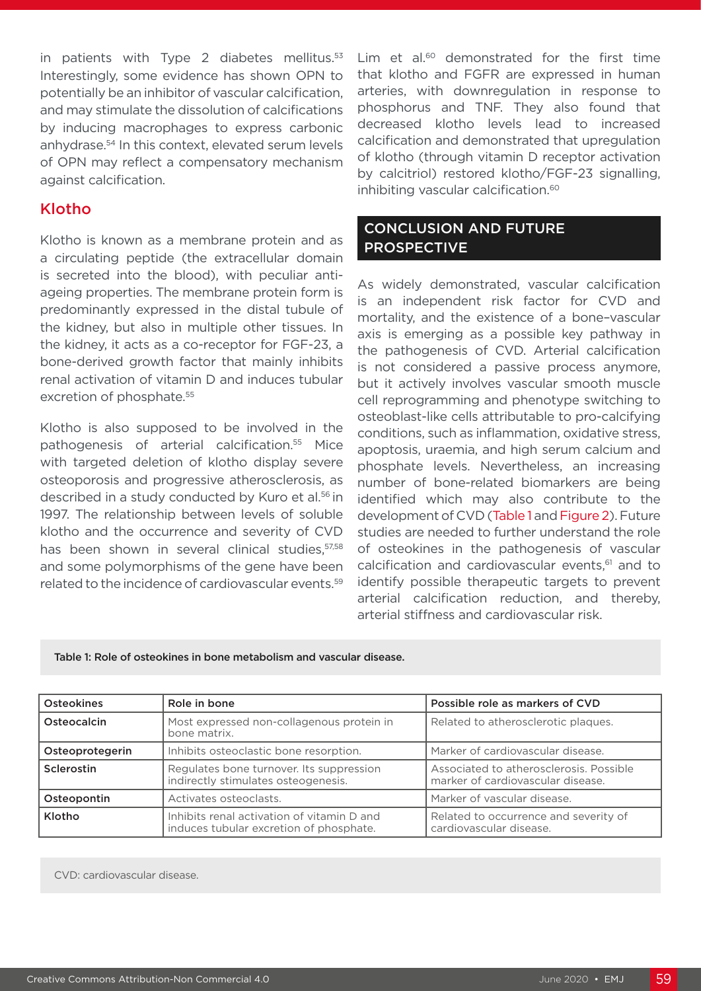in patients with Type 2 diabetes mellitus.<sup>53</sup> Interestingly, some evidence has shown OPN to potentially be an inhibitor of vascular calcification, and may stimulate the dissolution of calcifications by inducing macrophages to express carbonic anhydrase.54 In this context, elevated serum levels of OPN may reflect a compensatory mechanism against calcification.

## Klotho

Klotho is known as a membrane protein and as a circulating peptide (the extracellular domain is secreted into the blood), with peculiar antiageing properties. The membrane protein form is predominantly expressed in the distal tubule of the kidney, but also in multiple other tissues. In the kidney, it acts as a co-receptor for FGF-23, a bone-derived growth factor that mainly inhibits renal activation of vitamin D and induces tubular excretion of phosphate.<sup>55</sup>

Klotho is also supposed to be involved in the pathogenesis of arterial calcification.55 Mice with targeted deletion of klotho display severe osteoporosis and progressive atherosclerosis, as described in a study conducted by Kuro et al.<sup>56</sup> in 1997. The relationship between levels of soluble klotho and the occurrence and severity of CVD has been shown in several clinical studies, 57,58 and some polymorphisms of the gene have been related to the incidence of cardiovascular events.59

Lim et al.<sup>60</sup> demonstrated for the first time that klotho and FGFR are expressed in human arteries, with downregulation in response to phosphorus and TNF. They also found that decreased klotho levels lead to increased calcification and demonstrated that upregulation of klotho (through vitamin D receptor activation by calcitriol) restored klotho/FGF-23 signalling, inhibiting vascular calcification.<sup>60</sup>

## CONCLUSION AND FUTURE PROSPECTIVE

As widely demonstrated, vascular calcification is an independent risk factor for CVD and mortality, and the existence of a bone–vascular axis is emerging as a possible key pathway in the pathogenesis of CVD. Arterial calcification is not considered a passive process anymore, but it actively involves vascular smooth muscle cell reprogramming and phenotype switching to osteoblast-like cells attributable to pro-calcifying conditions, such as inflammation, oxidative stress, apoptosis, uraemia, and high serum calcium and phosphate levels. Nevertheless, an increasing number of bone-related biomarkers are being identified which may also contribute to the development of CVD (Table 1 and Figure 2). Future studies are needed to further understand the role of osteokines in the pathogenesis of vascular calcification and cardiovascular events,<sup>61</sup> and to identify possible therapeutic targets to prevent arterial calcification reduction, and thereby, arterial stiffness and cardiovascular risk.

Table 1: Role of osteokines in bone metabolism and vascular disease.

| <b>Osteokines</b> | Role in bone                                                                          | Possible role as markers of CVD                                              |
|-------------------|---------------------------------------------------------------------------------------|------------------------------------------------------------------------------|
| Osteocalcin       | Most expressed non-collagenous protein in<br>bone matrix.                             | Related to atherosclerotic plaques.                                          |
| Osteoprotegerin   | Inhibits osteoclastic bone resorption.                                                | Marker of cardiovascular disease.                                            |
| <b>Sclerostin</b> | Regulates bone turnover. Its suppression<br>indirectly stimulates osteogenesis.       | Associated to atherosclerosis. Possible<br>marker of cardiovascular disease. |
| Osteopontin       | Activates osteoclasts.                                                                | Marker of vascular disease.                                                  |
| Klotho            | Inhibits renal activation of vitamin D and<br>induces tubular excretion of phosphate. | Related to occurrence and severity of<br>cardiovascular disease.             |

CVD: cardiovascular disease.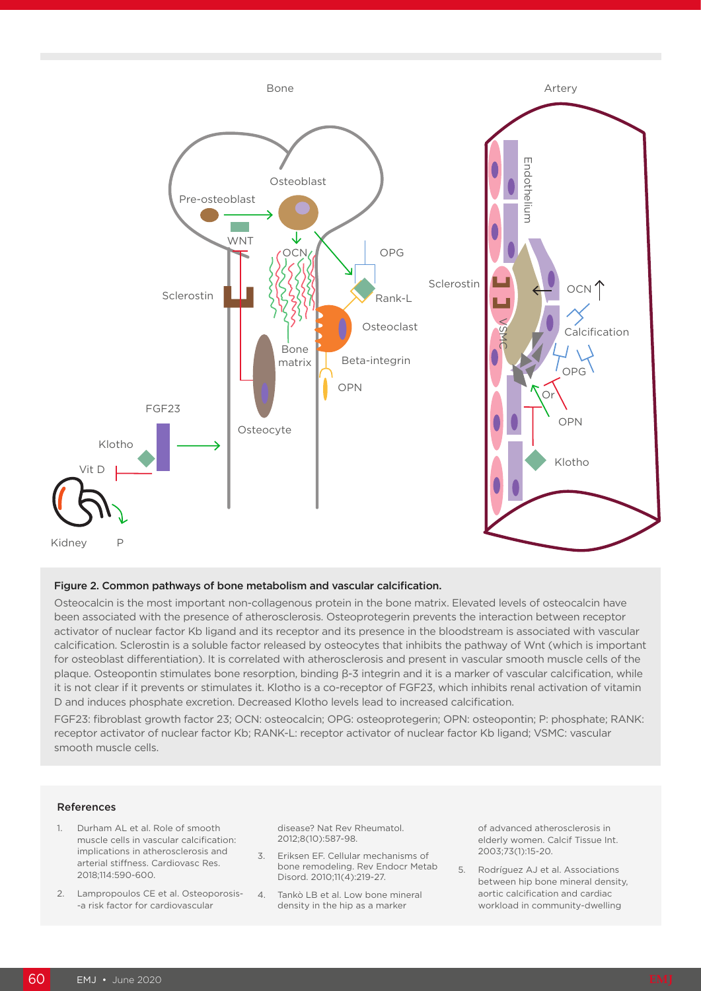

#### Figure 2. Common pathways of bone metabolism and vascular calcification.

Osteocalcin is the most important non-collagenous protein in the bone matrix. Elevated levels of osteocalcin have been associated with the presence of atherosclerosis. Osteoprotegerin prevents the interaction between receptor activator of nuclear factor Kb ligand and its receptor and its presence in the bloodstream is associated with vascular calcification. Sclerostin is a soluble factor released by osteocytes that inhibits the pathway of Wnt (which is important for osteoblast differentiation). It is correlated with atherosclerosis and present in vascular smooth muscle cells of the plaque. Osteopontin stimulates bone resorption, binding β-3 integrin and it is a marker of vascular calcification, while it is not clear if it prevents or stimulates it. Klotho is a co-receptor of FGF23, which inhibits renal activation of vitamin D and induces phosphate excretion. Decreased Klotho levels lead to increased calcification.

FGF23: fibroblast growth factor 23; OCN: osteocalcin; OPG: osteoprotegerin; OPN: osteopontin; P: phosphate; RANK: receptor activator of nuclear factor Kb; RANK-L: receptor activator of nuclear factor Kb ligand; VSMC: vascular smooth muscle cells.

#### References

- 1. Durham AL et al. Role of smooth muscle cells in vascular calcification: implications in atherosclerosis and arterial stiffness. Cardiovasc Res. 2018;114:590-600.
- 2. Lampropoulos CE et al. Osteoporosis- -a risk factor for cardiovascular

disease? Nat Rev Rheumatol. 2012;8(10):587-98.

- 3. Eriksen EF. Cellular mechanisms of bone remodeling. Rev Endocr Metab Disord. 2010;11(4):219-27.
- 4. Tankò LB et al. Low bone mineral density in the hip as a marker

of advanced atherosclerosis in elderly women. Calcif Tissue Int. 2003;73(1):15-20.

5. Rodríguez AJ et al. Associations between hip bone mineral density, aortic calcification and cardiac workload in community-dwelling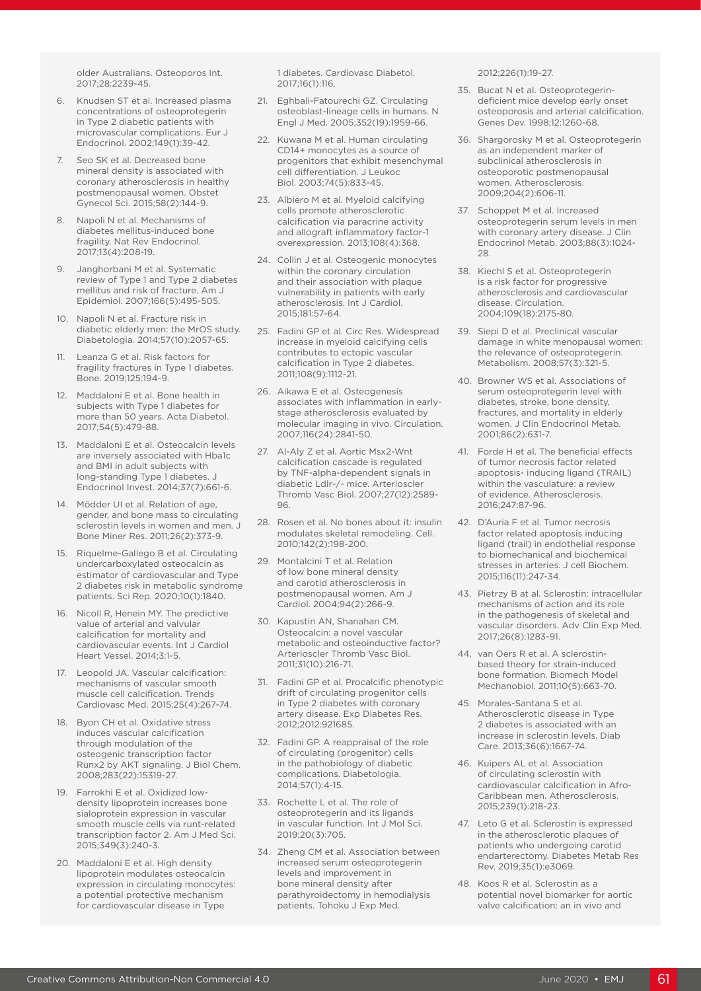older Australians. Osteoporos Int. 2017;28:2239-45.

- 6. Knudsen ST et al. Increased plasma concentrations of osteoprotegerin in Type 2 diabetic patients with microvascular complications. Eur J Endocrinol. 2002;149(1):39-42.
- 7. Seo SK et al. Decreased bone mineral density is associated with coronary atherosclerosis in healthy postmenopausal women. Obstet Gynecol Sci. 2015;58(2):144-9.
- 8. Napoli N et al. Mechanisms of diabetes mellitus-induced bone fragility. Nat Rev Endocrinol. 2017;13(4):208-19.
- 9. Janghorbani M et al. Systematic review of Type 1 and Type 2 diabetes mellitus and risk of fracture. Am J Epidemiol. 2007;166(5):495-505.
- 10. Napoli N et al. Fracture risk in diabetic elderly men: the MrOS study. Diabetologia. 2014;57(10):2057-65.
- 11. Leanza G et al. Risk factors for fragility fractures in Type 1 diabetes. Bone. 2019;125:194-9.
- 12. Maddaloni E et al. Bone health in subjects with Type 1 diabetes for more than 50 years. Acta Diabetol. 2017;54(5):479-88.
- 13. Maddaloni E et al. Osteocalcin levels are inversely associated with Hba1c and BMI in adult subjects with long-standing Type 1 diabetes. J Endocrinol Invest. 2014;37(7):661-6.
- 14. Mödder UI et al. Relation of age, gender, and bone mass to circulating sclerostin levels in women and men. J Bone Miner Res. 2011;26(2):373-9.
- 15. Riquelme-Gallego B et al. Circulating undercarboxylated osteocalcin as estimator of cardiovascular and Type 2 diabetes risk in metabolic syndrome patients. Sci Rep. 2020;10(1):1840.
- 16. Nicoll R, Henein MY. The predictive value of arterial and valvular calcification for mortality and cardiovascular events. Int J Cardiol Heart Vessel. 2014;3:1-5.
- 17. Leopold JA. Vascular calcification: mechanisms of vascular smooth muscle cell calcification. Trends Cardiovasc Med. 2015;25(4):267-74.
- 18. Byon CH et al. Oxidative stress induces vascular calcification through modulation of the osteogenic transcription factor Runx2 by AKT signaling. J Biol Chem. 2008;283(22):15319-27.
- 19. Farrokhi E et al. Oxidized lowdensity lipoprotein increases bone sialoprotein expression in vascular smooth muscle cells via runt-related transcription factor 2. Am J Med Sci. 2015;349(3):240-3.
- 20. Maddaloni E et al. High density lipoprotein modulates osteocalcin expression in circulating monocytes: a potential protective mechanism for cardiovascular disease in Type

1 diabetes. Cardiovasc Diabetol. 2017;16(1):116.

- 21. Eghbali-Fatourechi GZ. Circulating osteoblast-lineage cells in humans. N Engl J Med. 2005;352(19):1959-66.
- 22. Kuwana M et al. Human circulating CD14+ monocytes as a source of progenitors that exhibit mesenchymal cell differentiation. J Leukoc Biol. 2003;74(5):833-45.
- 23. Albiero M et al. Myeloid calcifying cells promote atherosclerotic calcification via paracrine activity and allograft inflammatory factor-1 overexpression. 2013;108(4):368.
- 24. Collin J et al. Osteogenic monocytes within the coronary circulation and their association with plaque vulnerability in patients with early atherosclerosis. Int J Cardiol. 2015;181:57-64.
- 25. Fadini GP et al. Circ Res. Widespread increase in myeloid calcifying cells contributes to ectopic vascular calcification in Type 2 diabetes. 2011;108(9):1112-21.
- 26. Aikawa E et al. Osteogenesis associates with inflammation in earlystage atherosclerosis evaluated by molecular imaging in vivo. Circulation. 2007;116(24):2841-50.
- 27. Al-Aly Z et al. Aortic Msx2-Wnt calcification cascade is regulated by TNF-alpha-dependent signals in diabetic Ldlr-/- mice. Arterioscler Thromb Vasc Biol. 2007;27(12):2589- 96.
- 28. Rosen et al. No bones about it: insulin modulates skeletal remodeling. Cell. 2010;142(2):198-200.
- 29. Montalcini T et al. Relation of low bone mineral density and carotid atherosclerosis in postmenopausal women. Am J Cardiol. 2004;94(2):266-9.
- 30. Kapustin AN, Shanahan CM. Osteocalcin: a novel vascular metabolic and osteoinductive factor? Arterioscler Thromb Vasc Biol. 2011;31(10):216-71.
- 31. Fadini GP et al. Procalcific phenotypic drift of circulating progenitor cells in Type 2 diabetes with coronary artery disease. Exp Diabetes Res. 2012;2012:921685.
- 32. Fadini GP. A reappraisal of the role of circulating (progenitor) cells in the pathobiology of diabetic complications. Diabetologia. 2014;57(1):4-15.
- 33. Rochette L et al. The role of osteoprotegerin and its ligands in vascular function. Int J Mol Sci. 2019;20(3):705.
- 34. Zheng CM et al. Association between increased serum osteoprotegerin levels and improvement in bone mineral density after parathyroidectomy in hemodialysis patients. Tohoku J Exp Med.

2012;226(1):19-27.

- 35. Bucat N et al. Osteoprotegerindeficient mice develop early onset osteoporosis and arterial calcification. Genes Dev. 1998;12:1260-68.
- 36. Shargorosky M et al. Osteoprotegerin as an independent marker of subclinical atherosclerosis in osteoporotic postmenopausal women. Atherosclerosis. 2009;204(2):606-11.
- 37. Schoppet M et al. Increased osteoprotegerin serum levels in men with coronary artery disease. J Clin Endocrinol Metab. 2003;88(3):1024- 28.
- 38. Kiechl S et al. Osteoprotegerin is a risk factor for progressive atherosclerosis and cardiovascular disease. Circulation. 2004;109(18):2175-80.
- 39. Siepi D et al. Preclinical vascular damage in white menopausal women: the relevance of osteoprotegerin. Metabolism. 2008;57(3):321-5.
- 40. Browner WS et al. Associations of serum osteoprotegerin level with diabetes, stroke, bone density, fractures, and mortality in elderly women. J Clin Endocrinol Metab. 2001;86(2):631-7.
- 41. Forde H et al. The beneficial effects of tumor necrosis factor related apoptosis- inducing ligand (TRAIL) within the vasculature: a review of evidence. Atherosclerosis. 2016;247:87-96.
- 42. D'Auria F et al. Tumor necrosis factor related apoptosis inducing ligand (trail) in endothelial response to biomechanical and biochemical stresses in arteries. J cell Biochem. 2015;116(11):247-34.
- 43. Pietrzy B at al. Sclerostin: intracellular mechanisms of action and its role in the pathogenesis of skeletal and vascular disorders. Adv Clin Exp Med. 2017;26(8):1283-91.
- 44. van Oers R et al. A sclerostinbased theory for strain-induced bone formation. Biomech Model Mechanobiol. 2011;10(5):663-70.
- 45. Morales-Santana S et al. Atherosclerotic disease in Type 2 diabetes is associated with an increase in sclerostin levels. Diab Care. 2013;36(6):1667-74.
- 46. Kuipers AL et al. Association of circulating sclerostin with cardiovascular calcification in Afro-Caribbean men. Atherosclerosis. 2015;239(1):218-23.
- 47. Leto G et al. Sclerostin is expressed in the atherosclerotic plaques of patients who undergoing carotid endarterectomy. Diabetes Metab Res Rev. 2019;35(1):e3069.
- 48. Koos R et al. Sclerostin as a potential novel biomarker for aortic valve calcification: an in vivo and